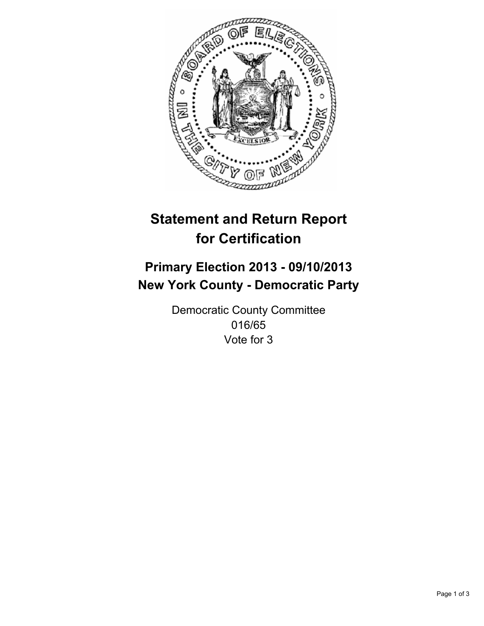

# **Statement and Return Report for Certification**

## **Primary Election 2013 - 09/10/2013 New York County - Democratic Party**

Democratic County Committee 016/65 Vote for 3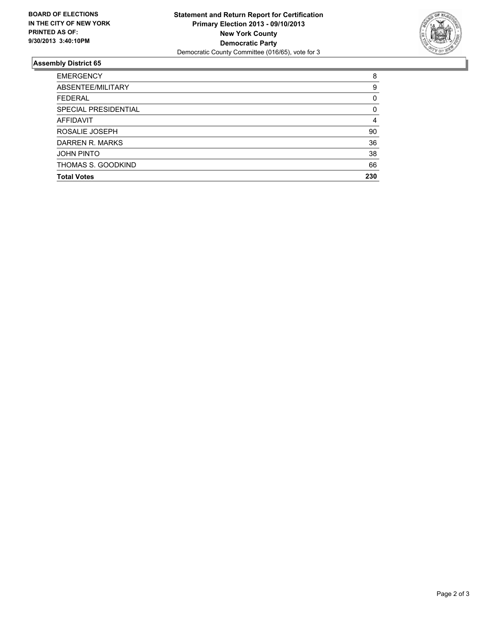

### **Assembly District 65**

| ABSENTEE/MILITARY<br><b>FEDERAL</b><br>SPECIAL PRESIDENTIAL<br><b>AFFIDAVIT</b><br>ROSALIE JOSEPH<br>DARREN R. MARKS<br><b>JOHN PINTO</b><br>THOMAS S. GOODKIND | <b>EMERGENCY</b>   | 8   |
|-----------------------------------------------------------------------------------------------------------------------------------------------------------------|--------------------|-----|
|                                                                                                                                                                 |                    | 9   |
|                                                                                                                                                                 |                    | 0   |
|                                                                                                                                                                 |                    | 0   |
|                                                                                                                                                                 |                    | 4   |
|                                                                                                                                                                 |                    | 90  |
|                                                                                                                                                                 |                    | 36  |
|                                                                                                                                                                 |                    | 38  |
|                                                                                                                                                                 |                    | 66  |
|                                                                                                                                                                 | <b>Total Votes</b> | 230 |